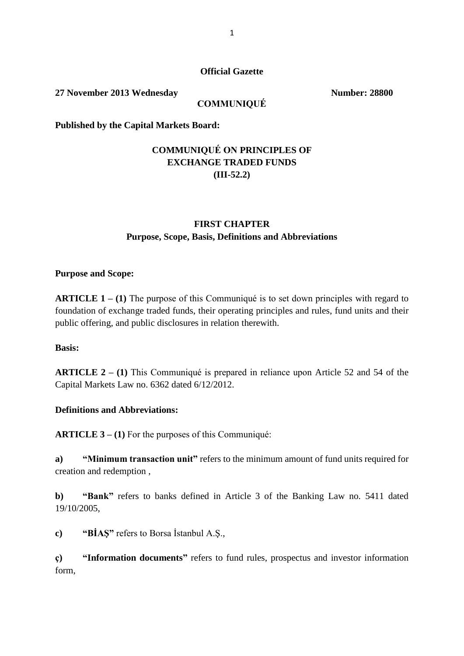#### **Official Gazette**

**27 November 2013 Wednesday Number: 28800** 

#### **COMMUNIQUÉ**

**Published by the Capital Markets Board:**

## **COMMUNIQUÉ ON PRINCIPLES OF EXCHANGE TRADED FUNDS (III-52.2)**

### **FIRST CHAPTER Purpose, Scope, Basis, Definitions and Abbreviations**

#### **Purpose and Scope:**

**ARTICLE 1 – (1)** The purpose of this Communiqué is to set down principles with regard to foundation of exchange traded funds, their operating principles and rules, fund units and their public offering, and public disclosures in relation therewith.

#### **Basis:**

**ARTICLE 2 – (1)** This Communiqué is prepared in reliance upon Article 52 and 54 of the Capital Markets Law no. 6362 dated 6/12/2012.

#### **Definitions and Abbreviations:**

**ARTICLE 3 – (1)** For the purposes of this Communiqué:

**a) "Minimum transaction unit"** refers to the minimum amount of fund units required for creation and redemption ,

**b) "Bank"** refers to banks defined in Article 3 of the Banking Law no. 5411 dated 19/10/2005,

**c) "BİAŞ"** refers to Borsa İstanbul A.Ş.,

**ç) "Information documents"** refers to fund rules, prospectus and investor information form,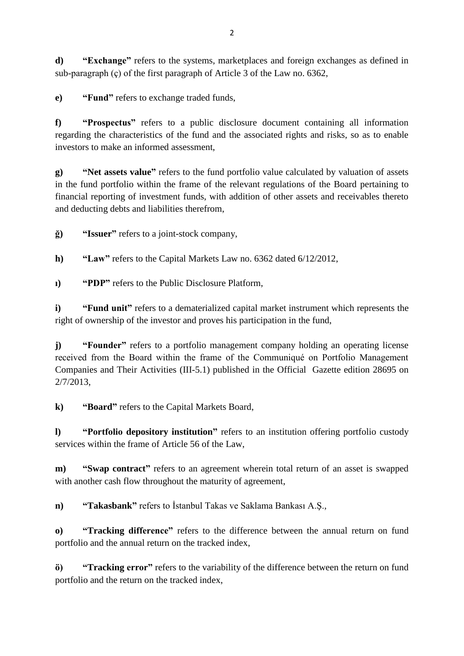**d) "Exchange"** refers to the systems, marketplaces and foreign exchanges as defined in sub-paragraph (ç) of the first paragraph of Article 3 of the Law no. 6362,

**e) "Fund"** refers to exchange traded funds,

**f) "Prospectus"** refers to a public disclosure document containing all information regarding the characteristics of the fund and the associated rights and risks, so as to enable investors to make an informed assessment,

**g) "Net assets value"** refers to the fund portfolio value calculated by valuation of assets in the fund portfolio within the frame of the relevant regulations of the Board pertaining to financial reporting of investment funds, with addition of other assets and receivables thereto and deducting debts and liabilities therefrom,

**ğ) "Issuer"** refers to a joint-stock company,

**h) "Law"** refers to the Capital Markets Law no. 6362 dated 6/12/2012,

**ı) "PDP"** refers to the Public Disclosure Platform,

**i) "Fund unit"** refers to a dematerialized capital market instrument which represents the right of ownership of the investor and proves his participation in the fund,

**j) "Founder"** refers to a portfolio management company holding an operating license received from the Board within the frame of the Communiqué on Portfolio Management Companies and Their Activities (III-5.1) published in the Official Gazette edition 28695 on 2/7/2013,

**k) "Board"** refers to the Capital Markets Board,

**l) "Portfolio depository institution"** refers to an institution offering portfolio custody services within the frame of Article 56 of the Law,

**m) "Swap contract"** refers to an agreement wherein total return of an asset is swapped with another cash flow throughout the maturity of agreement,

**n) "Takasbank"** refers to İstanbul Takas ve Saklama Bankası A.Ş.,

**o) "Tracking difference"** refers to the difference between the annual return on fund portfolio and the annual return on the tracked index,

**ö) "Tracking error"** refers to the variability of the difference between the return on fund portfolio and the return on the tracked index,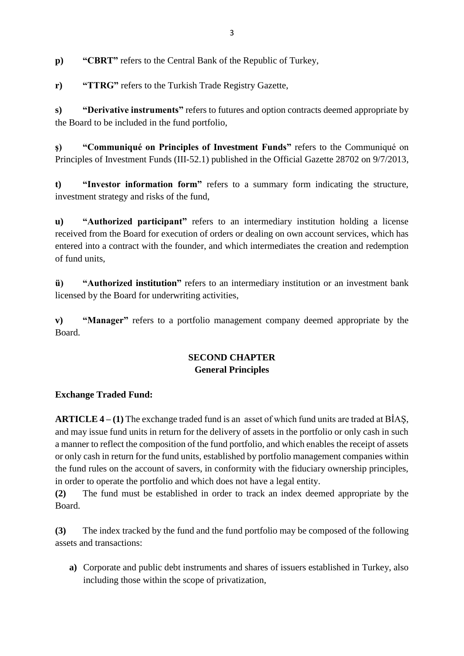**p) "CBRT"** refers to the Central Bank of the Republic of Turkey,

**r) "TTRG"** refers to the Turkish Trade Registry Gazette,

**s) "Derivative instruments"** refers to futures and option contracts deemed appropriate by the Board to be included in the fund portfolio,

**ş) "Communiqué on Principles of Investment Funds"** refers to the Communiqué on Principles of Investment Funds (III-52.1) published in the Official Gazette 28702 on 9/7/2013,

**t) "Investor information form"** refers to a summary form indicating the structure, investment strategy and risks of the fund,

**u) "Authorized participant"** refers to an intermediary institution holding a license received from the Board for execution of orders or dealing on own account services, which has entered into a contract with the founder, and which intermediates the creation and redemption of fund units,

**ü) "Authorized institution"** refers to an intermediary institution or an investment bank licensed by the Board for underwriting activities,

**v) "Manager"** refers to a portfolio management company deemed appropriate by the Board.

# **SECOND CHAPTER General Principles**

## **Exchange Traded Fund:**

**ARTICLE 4 – (1)** The exchange traded fund is an asset of which fund units are traded at BİAŞ, and may issue fund units in return for the delivery of assets in the portfolio or only cash in such a manner to reflect the composition of the fund portfolio, and which enables the receipt of assets or only cash in return for the fund units, established by portfolio management companies within the fund rules on the account of savers, in conformity with the fiduciary ownership principles, in order to operate the portfolio and which does not have a legal entity.

**(2)** The fund must be established in order to track an index deemed appropriate by the Board.

**(3)** The index tracked by the fund and the fund portfolio may be composed of the following assets and transactions:

**a)** Corporate and public debt instruments and shares of issuers established in Turkey, also including those within the scope of privatization,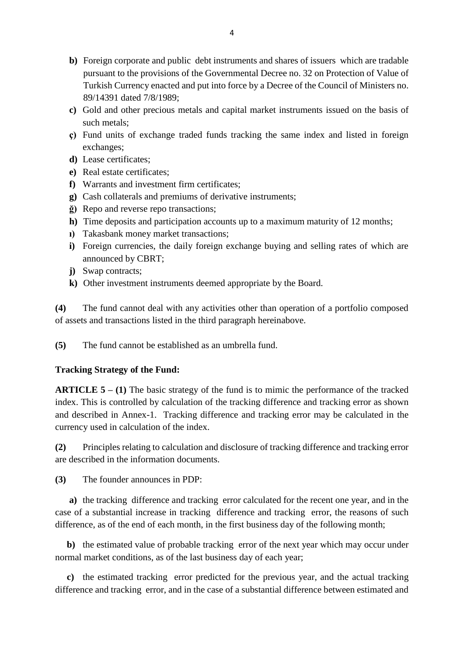- **b)** Foreign corporate and public debt instruments and shares of issuers which are tradable pursuant to the provisions of the Governmental Decree no. 32 on Protection of Value of Turkish Currency enacted and put into force by a Decree of the Council of Ministers no. 89/14391 dated 7/8/1989;
- **c)** Gold and other precious metals and capital market instruments issued on the basis of such metals;
- **ç)** Fund units of exchange traded funds tracking the same index and listed in foreign exchanges;
- **d)** Lease certificates;
- **e)** Real estate certificates;
- **f)** Warrants and investment firm certificates;
- **g)** Cash collaterals and premiums of derivative instruments;
- **ğ)** Repo and reverse repo transactions;
- **h)** Time deposits and participation accounts up to a maximum maturity of 12 months;
- **ı)** Takasbank money market transactions;
- **i**) Foreign currencies, the daily foreign exchange buying and selling rates of which are announced by CBRT;
- **j)** Swap contracts;
- **k)** Other investment instruments deemed appropriate by the Board.

**(4)** The fund cannot deal with any activities other than operation of a portfolio composed of assets and transactions listed in the third paragraph hereinabove.

**(5)** The fund cannot be established as an umbrella fund.

### **Tracking Strategy of the Fund:**

**ARTICLE 5 – (1)** The basic strategy of the fund is to mimic the performance of the tracked index. This is controlled by calculation of the tracking difference and tracking error as shown and described in Annex-1. Tracking difference and tracking error may be calculated in the currency used in calculation of the index.

**(2)** Principles relating to calculation and disclosure of tracking difference and tracking error are described in the information documents.

**(3)** The founder announces in PDP:

 **a)** the tracking difference and tracking error calculated for the recent one year, and in the case of a substantial increase in tracking difference and tracking error, the reasons of such difference, as of the end of each month, in the first business day of the following month;

 **b)** the estimated value of probable tracking error of the next year which may occur under normal market conditions, as of the last business day of each year;

 **c)** the estimated tracking error predicted for the previous year, and the actual tracking difference and tracking error, and in the case of a substantial difference between estimated and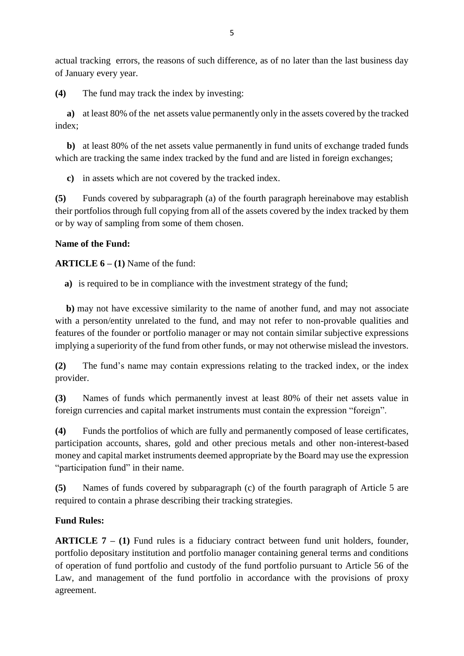actual tracking errors, the reasons of such difference, as of no later than the last business day of January every year.

**(4)** The fund may track the index by investing:

 **a)** at least 80% of the net assets value permanently only in the assets covered by the tracked index;

 **b)** at least 80% of the net assets value permanently in fund units of exchange traded funds which are tracking the same index tracked by the fund and are listed in foreign exchanges;

**c)** in assets which are not covered by the tracked index.

**(5)** Funds covered by subparagraph (a) of the fourth paragraph hereinabove may establish their portfolios through full copying from all of the assets covered by the index tracked by them or by way of sampling from some of them chosen.

### **Name of the Fund:**

**ARTICLE 6 – (1)** Name of the fund:

**a)** is required to be in compliance with the investment strategy of the fund;

**b)** may not have excessive similarity to the name of another fund, and may not associate with a person/entity unrelated to the fund, and may not refer to non-provable qualities and features of the founder or portfolio manager or may not contain similar subjective expressions implying a superiority of the fund from other funds, or may not otherwise mislead the investors.

**(2)** The fund's name may contain expressions relating to the tracked index, or the index provider.

**(3)** Names of funds which permanently invest at least 80% of their net assets value in foreign currencies and capital market instruments must contain the expression "foreign".

**(4)** Funds the portfolios of which are fully and permanently composed of lease certificates, participation accounts, shares, gold and other precious metals and other non-interest-based money and capital market instruments deemed appropriate by the Board may use the expression "participation fund" in their name.

**(5)** Names of funds covered by subparagraph (c) of the fourth paragraph of Article 5 are required to contain a phrase describing their tracking strategies.

## **Fund Rules:**

**ARTICLE 7 – (1)** Fund rules is a fiduciary contract between fund unit holders, founder, portfolio depositary institution and portfolio manager containing general terms and conditions of operation of fund portfolio and custody of the fund portfolio pursuant to Article 56 of the Law, and management of the fund portfolio in accordance with the provisions of proxy agreement.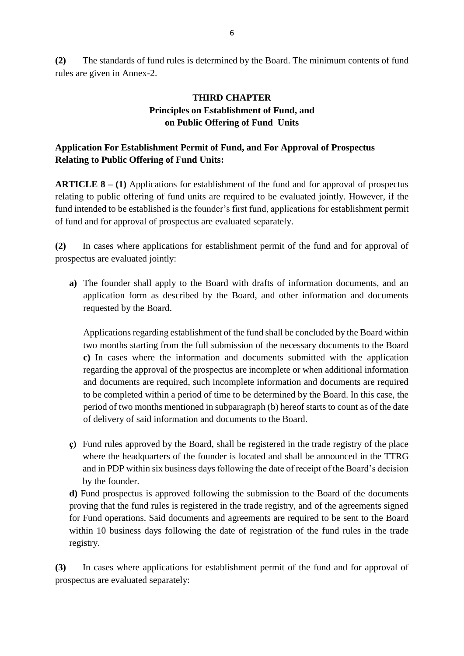**(2)** The standards of fund rules is determined by the Board. The minimum contents of fund rules are given in Annex-2.

## **THIRD CHAPTER Principles on Establishment of Fund, and on Public Offering of Fund Units**

## **Application For Establishment Permit of Fund, and For Approval of Prospectus Relating to Public Offering of Fund Units:**

**ARTICLE 8 – (1)** Applications for establishment of the fund and for approval of prospectus relating to public offering of fund units are required to be evaluated jointly. However, if the fund intended to be established is the founder's first fund, applications for establishment permit of fund and for approval of prospectus are evaluated separately.

**(2)** In cases where applications for establishment permit of the fund and for approval of prospectus are evaluated jointly:

**a)** The founder shall apply to the Board with drafts of information documents, and an application form as described by the Board, and other information and documents requested by the Board.

Applications regarding establishment of the fund shall be concluded by the Board within two months starting from the full submission of the necessary documents to the Board **c)** In cases where the information and documents submitted with the application regarding the approval of the prospectus are incomplete or when additional information and documents are required, such incomplete information and documents are required to be completed within a period of time to be determined by the Board. In this case, the period of two months mentioned in subparagraph (b) hereof starts to count as of the date of delivery of said information and documents to the Board.

**ç)** Fund rules approved by the Board, shall be registered in the trade registry of the place where the headquarters of the founder is located and shall be announced in the TTRG and in PDP within six business days following the date of receipt of the Board's decision by the founder.

**d)** Fund prospectus is approved following the submission to the Board of the documents proving that the fund rules is registered in the trade registry, and of the agreements signed for Fund operations. Said documents and agreements are required to be sent to the Board within 10 business days following the date of registration of the fund rules in the trade registry.

**(3)** In cases where applications for establishment permit of the fund and for approval of prospectus are evaluated separately: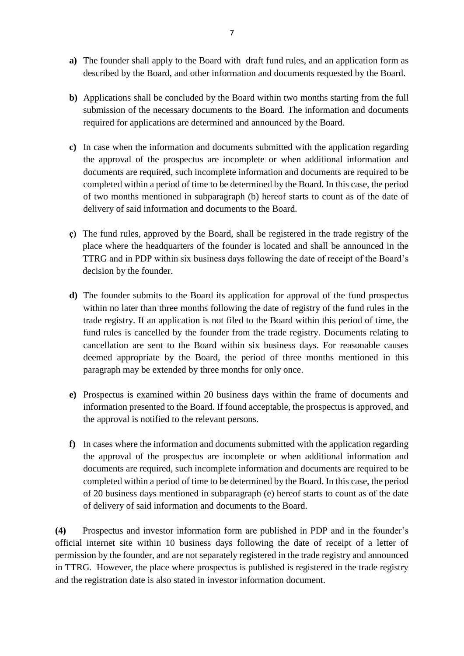- **a)** The founder shall apply to the Board with draft fund rules, and an application form as described by the Board, and other information and documents requested by the Board.
- **b)** Applications shall be concluded by the Board within two months starting from the full submission of the necessary documents to the Board. The information and documents required for applications are determined and announced by the Board.
- **c)** In case when the information and documents submitted with the application regarding the approval of the prospectus are incomplete or when additional information and documents are required, such incomplete information and documents are required to be completed within a period of time to be determined by the Board. In this case, the period of two months mentioned in subparagraph (b) hereof starts to count as of the date of delivery of said information and documents to the Board.
- **ç)** The fund rules, approved by the Board, shall be registered in the trade registry of the place where the headquarters of the founder is located and shall be announced in the TTRG and in PDP within six business days following the date of receipt of the Board's decision by the founder.
- **d)** The founder submits to the Board its application for approval of the fund prospectus within no later than three months following the date of registry of the fund rules in the trade registry. If an application is not filed to the Board within this period of time, the fund rules is cancelled by the founder from the trade registry. Documents relating to cancellation are sent to the Board within six business days. For reasonable causes deemed appropriate by the Board, the period of three months mentioned in this paragraph may be extended by three months for only once.
- **e)** Prospectus is examined within 20 business days within the frame of documents and information presented to the Board. If found acceptable, the prospectus is approved, and the approval is notified to the relevant persons.
- **f)** In cases where the information and documents submitted with the application regarding the approval of the prospectus are incomplete or when additional information and documents are required, such incomplete information and documents are required to be completed within a period of time to be determined by the Board. In this case, the period of 20 business days mentioned in subparagraph (e) hereof starts to count as of the date of delivery of said information and documents to the Board.

**(4)** Prospectus and investor information form are published in PDP and in the founder's official internet site within 10 business days following the date of receipt of a letter of permission by the founder, and are not separately registered in the trade registry and announced in TTRG. However, the place where prospectus is published is registered in the trade registry and the registration date is also stated in investor information document.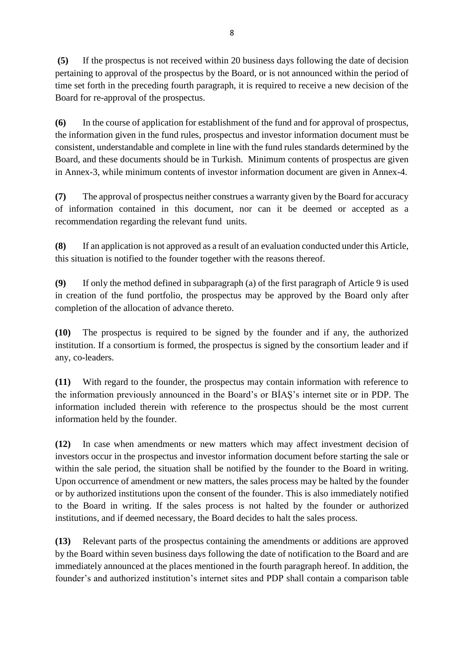**(5)** If the prospectus is not received within 20 business days following the date of decision pertaining to approval of the prospectus by the Board, or is not announced within the period of time set forth in the preceding fourth paragraph, it is required to receive a new decision of the Board for re-approval of the prospectus.

**(6)** In the course of application for establishment of the fund and for approval of prospectus, the information given in the fund rules, prospectus and investor information document must be consistent, understandable and complete in line with the fund rules standards determined by the Board, and these documents should be in Turkish. Minimum contents of prospectus are given in Annex-3, while minimum contents of investor information document are given in Annex-4.

**(7)** The approval of prospectus neither construes a warranty given by the Board for accuracy of information contained in this document, nor can it be deemed or accepted as a recommendation regarding the relevant fund units.

**(8)** If an application is not approved as a result of an evaluation conducted under this Article, this situation is notified to the founder together with the reasons thereof.

**(9)** If only the method defined in subparagraph (a) of the first paragraph of Article 9 is used in creation of the fund portfolio, the prospectus may be approved by the Board only after completion of the allocation of advance thereto.

**(10)** The prospectus is required to be signed by the founder and if any, the authorized institution. If a consortium is formed, the prospectus is signed by the consortium leader and if any, co-leaders.

**(11)** With regard to the founder, the prospectus may contain information with reference to the information previously announced in the Board's or BİAŞ's internet site or in PDP. The information included therein with reference to the prospectus should be the most current information held by the founder.

**(12)** In case when amendments or new matters which may affect investment decision of investors occur in the prospectus and investor information document before starting the sale or within the sale period, the situation shall be notified by the founder to the Board in writing. Upon occurrence of amendment or new matters, the sales process may be halted by the founder or by authorized institutions upon the consent of the founder. This is also immediately notified to the Board in writing. If the sales process is not halted by the founder or authorized institutions, and if deemed necessary, the Board decides to halt the sales process.

**(13)** Relevant parts of the prospectus containing the amendments or additions are approved by the Board within seven business days following the date of notification to the Board and are immediately announced at the places mentioned in the fourth paragraph hereof. In addition, the founder's and authorized institution's internet sites and PDP shall contain a comparison table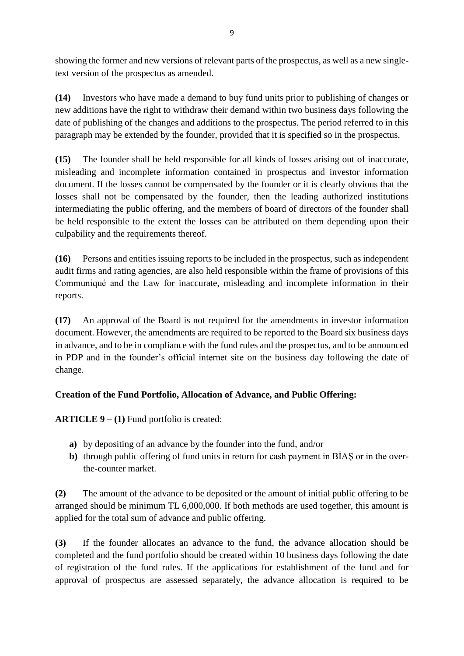showing the former and new versions of relevant parts of the prospectus, as well as a new singletext version of the prospectus as amended.

**(14)** Investors who have made a demand to buy fund units prior to publishing of changes or new additions have the right to withdraw their demand within two business days following the date of publishing of the changes and additions to the prospectus. The period referred to in this paragraph may be extended by the founder, provided that it is specified so in the prospectus.

**(15)** The founder shall be held responsible for all kinds of losses arising out of inaccurate, misleading and incomplete information contained in prospectus and investor information document. If the losses cannot be compensated by the founder or it is clearly obvious that the losses shall not be compensated by the founder, then the leading authorized institutions intermediating the public offering, and the members of board of directors of the founder shall be held responsible to the extent the losses can be attributed on them depending upon their culpability and the requirements thereof.

**(16)** Persons and entities issuing reports to be included in the prospectus, such as independent audit firms and rating agencies, are also held responsible within the frame of provisions of this Communiqué and the Law for inaccurate, misleading and incomplete information in their reports.

**(17)** An approval of the Board is not required for the amendments in investor information document. However, the amendments are required to be reported to the Board six business days in advance, and to be in compliance with the fund rules and the prospectus, and to be announced in PDP and in the founder's official internet site on the business day following the date of change.

# **Creation of the Fund Portfolio, Allocation of Advance, and Public Offering:**

**ARTICLE 9 – (1)** Fund portfolio is created:

- **a)** by depositing of an advance by the founder into the fund, and/or
- **b)** through public offering of fund units in return for cash payment in BİAŞ or in the overthe-counter market.

**(2)** The amount of the advance to be deposited or the amount of initial public offering to be arranged should be minimum TL 6,000,000. If both methods are used together, this amount is applied for the total sum of advance and public offering.

**(3)** If the founder allocates an advance to the fund, the advance allocation should be completed and the fund portfolio should be created within 10 business days following the date of registration of the fund rules. If the applications for establishment of the fund and for approval of prospectus are assessed separately, the advance allocation is required to be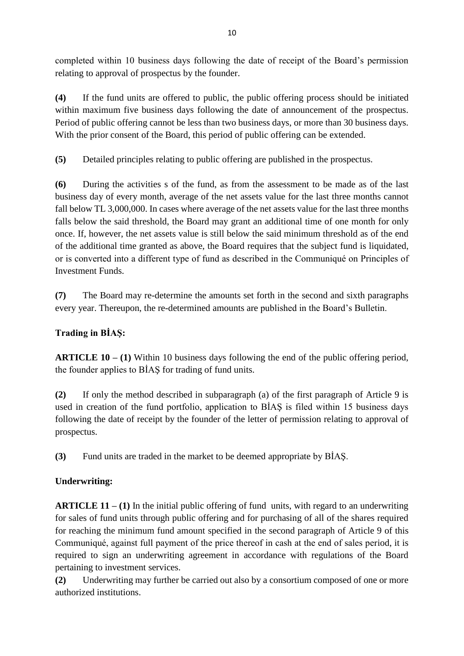completed within 10 business days following the date of receipt of the Board's permission relating to approval of prospectus by the founder.

**(4)** If the fund units are offered to public, the public offering process should be initiated within maximum five business days following the date of announcement of the prospectus. Period of public offering cannot be less than two business days, or more than 30 business days. With the prior consent of the Board, this period of public offering can be extended.

**(5)** Detailed principles relating to public offering are published in the prospectus.

**(6)** During the activities s of the fund, as from the assessment to be made as of the last business day of every month, average of the net assets value for the last three months cannot fall below TL 3,000,000. In cases where average of the net assets value for the last three months falls below the said threshold, the Board may grant an additional time of one month for only once. If, however, the net assets value is still below the said minimum threshold as of the end of the additional time granted as above, the Board requires that the subject fund is liquidated, or is converted into a different type of fund as described in the Communiqué on Principles of Investment Funds.

**(7)** The Board may re-determine the amounts set forth in the second and sixth paragraphs every year. Thereupon, the re-determined amounts are published in the Board's Bulletin.

# **Trading in BİAŞ:**

**ARTICLE 10 – (1)** Within 10 business days following the end of the public offering period, the founder applies to BİAŞ for trading of fund units.

**(2)** If only the method described in subparagraph (a) of the first paragraph of Article 9 is used in creation of the fund portfolio, application to BİAŞ is filed within 15 business days following the date of receipt by the founder of the letter of permission relating to approval of prospectus.

**(3)** Fund units are traded in the market to be deemed appropriate by BİAŞ.

## **Underwriting:**

**ARTICLE 11 – (1)** In the initial public offering of fund units, with regard to an underwriting for sales of fund units through public offering and for purchasing of all of the shares required for reaching the minimum fund amount specified in the second paragraph of Article 9 of this Communiqué, against full payment of the price thereof in cash at the end of sales period, it is required to sign an underwriting agreement in accordance with regulations of the Board pertaining to investment services.

**(2)** Underwriting may further be carried out also by a consortium composed of one or more authorized institutions.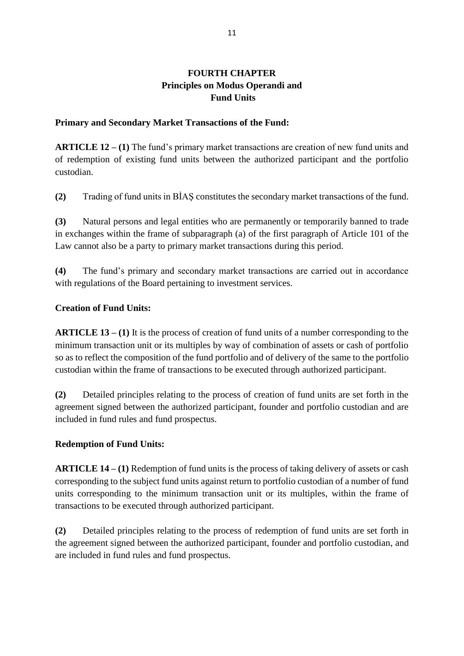## **FOURTH CHAPTER Principles on Modus Operandi and Fund Units**

### **Primary and Secondary Market Transactions of the Fund:**

**ARTICLE 12 – (1)** The fund's primary market transactions are creation of new fund units and of redemption of existing fund units between the authorized participant and the portfolio custodian.

**(2)** Trading of fund units in BİAŞ constitutes the secondary market transactions of the fund.

**(3)** Natural persons and legal entities who are permanently or temporarily banned to trade in exchanges within the frame of subparagraph (a) of the first paragraph of Article 101 of the Law cannot also be a party to primary market transactions during this period.

**(4)** The fund's primary and secondary market transactions are carried out in accordance with regulations of the Board pertaining to investment services.

### **Creation of Fund Units:**

**ARTICLE 13 – (1)** It is the process of creation of fund units of a number corresponding to the minimum transaction unit or its multiples by way of combination of assets or cash of portfolio so as to reflect the composition of the fund portfolio and of delivery of the same to the portfolio custodian within the frame of transactions to be executed through authorized participant.

**(2)** Detailed principles relating to the process of creation of fund units are set forth in the agreement signed between the authorized participant, founder and portfolio custodian and are included in fund rules and fund prospectus.

### **Redemption of Fund Units:**

**ARTICLE 14 – (1)** Redemption of fund units is the process of taking delivery of assets or cash corresponding to the subject fund units against return to portfolio custodian of a number of fund units corresponding to the minimum transaction unit or its multiples, within the frame of transactions to be executed through authorized participant.

**(2)** Detailed principles relating to the process of redemption of fund units are set forth in the agreement signed between the authorized participant, founder and portfolio custodian, and are included in fund rules and fund prospectus.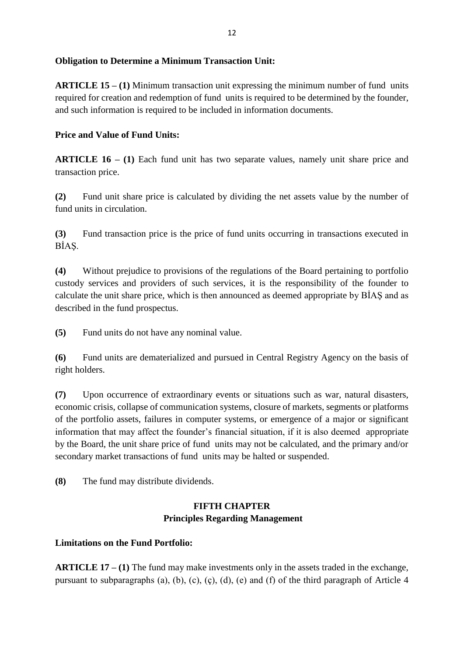### **Obligation to Determine a Minimum Transaction Unit:**

**ARTICLE 15 – (1)** Minimum transaction unit expressing the minimum number of fund units required for creation and redemption of fund units is required to be determined by the founder, and such information is required to be included in information documents.

### **Price and Value of Fund Units:**

**ARTICLE 16 – (1)** Each fund unit has two separate values, namely unit share price and transaction price.

**(2)** Fund unit share price is calculated by dividing the net assets value by the number of fund units in circulation.

**(3)** Fund transaction price is the price of fund units occurring in transactions executed in BİAŞ.

**(4)** Without prejudice to provisions of the regulations of the Board pertaining to portfolio custody services and providers of such services, it is the responsibility of the founder to calculate the unit share price, which is then announced as deemed appropriate by BİAŞ and as described in the fund prospectus.

**(5)** Fund units do not have any nominal value.

**(6)** Fund units are dematerialized and pursued in Central Registry Agency on the basis of right holders.

**(7)** Upon occurrence of extraordinary events or situations such as war, natural disasters, economic crisis, collapse of communication systems, closure of markets, segments or platforms of the portfolio assets, failures in computer systems, or emergence of a major or significant information that may affect the founder's financial situation, if it is also deemed appropriate by the Board, the unit share price of fund units may not be calculated, and the primary and/or secondary market transactions of fund units may be halted or suspended.

**(8)** The fund may distribute dividends.

## **FIFTH CHAPTER Principles Regarding Management**

#### **Limitations on the Fund Portfolio:**

**ARTICLE 17 – (1)** The fund may make investments only in the assets traded in the exchange, pursuant to subparagraphs (a), (b), (c), (c), (d), (e) and (f) of the third paragraph of Article 4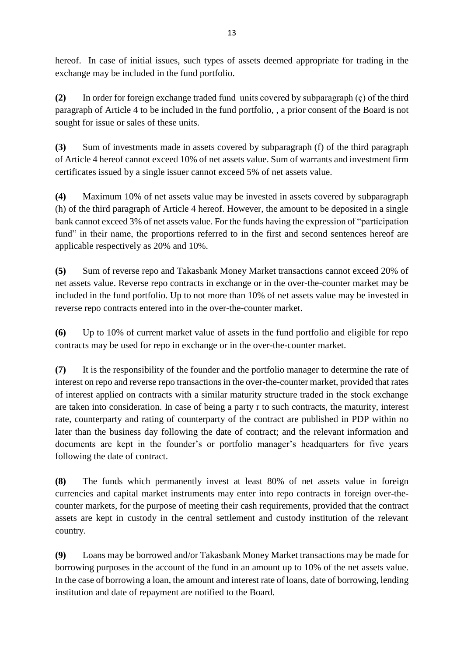hereof. In case of initial issues, such types of assets deemed appropriate for trading in the exchange may be included in the fund portfolio.

**(2)** In order for foreign exchange traded fund units covered by subparagraph (ç) of the third paragraph of Article 4 to be included in the fund portfolio, , a prior consent of the Board is not sought for issue or sales of these units.

**(3)** Sum of investments made in assets covered by subparagraph (f) of the third paragraph of Article 4 hereof cannot exceed 10% of net assets value. Sum of warrants and investment firm certificates issued by a single issuer cannot exceed 5% of net assets value.

**(4)** Maximum 10% of net assets value may be invested in assets covered by subparagraph (h) of the third paragraph of Article 4 hereof. However, the amount to be deposited in a single bank cannot exceed 3% of net assets value. For the funds having the expression of "participation fund" in their name, the proportions referred to in the first and second sentences hereof are applicable respectively as 20% and 10%.

**(5)** Sum of reverse repo and Takasbank Money Market transactions cannot exceed 20% of net assets value. Reverse repo contracts in exchange or in the over-the-counter market may be included in the fund portfolio. Up to not more than 10% of net assets value may be invested in reverse repo contracts entered into in the over-the-counter market.

**(6)** Up to 10% of current market value of assets in the fund portfolio and eligible for repo contracts may be used for repo in exchange or in the over-the-counter market.

**(7)** It is the responsibility of the founder and the portfolio manager to determine the rate of interest on repo and reverse repo transactions in the over-the-counter market, provided that rates of interest applied on contracts with a similar maturity structure traded in the stock exchange are taken into consideration. In case of being a party r to such contracts, the maturity, interest rate, counterparty and rating of counterparty of the contract are published in PDP within no later than the business day following the date of contract; and the relevant information and documents are kept in the founder's or portfolio manager's headquarters for five years following the date of contract.

**(8)** The funds which permanently invest at least 80% of net assets value in foreign currencies and capital market instruments may enter into repo contracts in foreign over-thecounter markets, for the purpose of meeting their cash requirements, provided that the contract assets are kept in custody in the central settlement and custody institution of the relevant country.

**(9)** Loans may be borrowed and/or Takasbank Money Market transactions may be made for borrowing purposes in the account of the fund in an amount up to 10% of the net assets value. In the case of borrowing a loan, the amount and interest rate of loans, date of borrowing, lending institution and date of repayment are notified to the Board.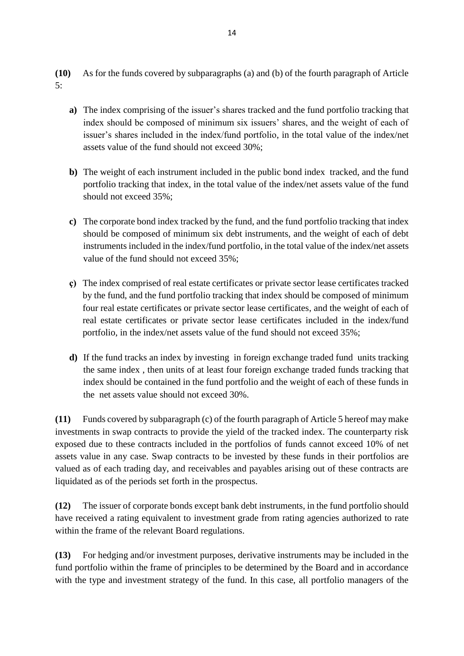**(10)** As for the funds covered by subparagraphs (a) and (b) of the fourth paragraph of Article 5:

- **a)** The index comprising of the issuer's shares tracked and the fund portfolio tracking that index should be composed of minimum six issuers' shares, and the weight of each of issuer's shares included in the index/fund portfolio, in the total value of the index/net assets value of the fund should not exceed 30%;
- **b)** The weight of each instrument included in the public bond index tracked, and the fund portfolio tracking that index, in the total value of the index/net assets value of the fund should not exceed 35%;
- **c)** The corporate bond index tracked by the fund, and the fund portfolio tracking that index should be composed of minimum six debt instruments, and the weight of each of debt instruments included in the index/fund portfolio, in the total value of the index/net assets value of the fund should not exceed 35%;
- **ç)** The index comprised of real estate certificates or private sector lease certificates tracked by the fund, and the fund portfolio tracking that index should be composed of minimum four real estate certificates or private sector lease certificates, and the weight of each of real estate certificates or private sector lease certificates included in the index/fund portfolio, in the index/net assets value of the fund should not exceed 35%;
- **d)** If the fund tracks an index by investing in foreign exchange traded fund units tracking the same index , then units of at least four foreign exchange traded funds tracking that index should be contained in the fund portfolio and the weight of each of these funds in the net assets value should not exceed 30%.

**(11)** Funds covered by subparagraph (c) of the fourth paragraph of Article 5 hereof may make investments in swap contracts to provide the yield of the tracked index. The counterparty risk exposed due to these contracts included in the portfolios of funds cannot exceed 10% of net assets value in any case. Swap contracts to be invested by these funds in their portfolios are valued as of each trading day, and receivables and payables arising out of these contracts are liquidated as of the periods set forth in the prospectus.

**(12)** The issuer of corporate bonds except bank debt instruments, in the fund portfolio should have received a rating equivalent to investment grade from rating agencies authorized to rate within the frame of the relevant Board regulations.

**(13)** For hedging and/or investment purposes, derivative instruments may be included in the fund portfolio within the frame of principles to be determined by the Board and in accordance with the type and investment strategy of the fund. In this case, all portfolio managers of the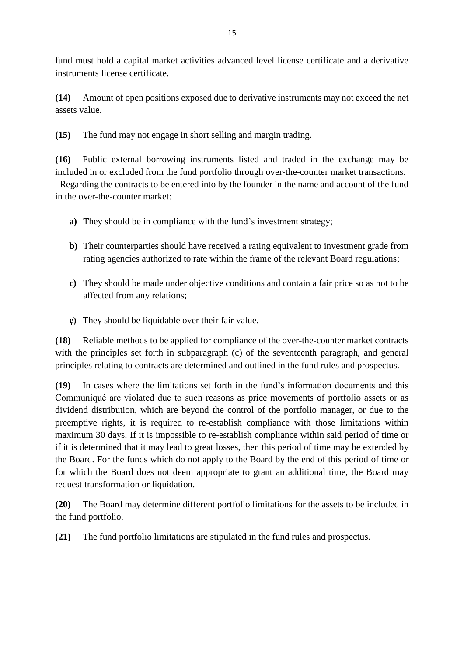fund must hold a capital market activities advanced level license certificate and a derivative instruments license certificate.

**(14)** Amount of open positions exposed due to derivative instruments may not exceed the net assets value.

**(15)** The fund may not engage in short selling and margin trading.

**(16)** Public external borrowing instruments listed and traded in the exchange may be included in or excluded from the fund portfolio through over-the-counter market transactions.

 Regarding the contracts to be entered into by the founder in the name and account of the fund in the over-the-counter market:

- **a)** They should be in compliance with the fund's investment strategy;
- **b)** Their counterparties should have received a rating equivalent to investment grade from rating agencies authorized to rate within the frame of the relevant Board regulations;
- **c)** They should be made under objective conditions and contain a fair price so as not to be affected from any relations;
- **ç)** They should be liquidable over their fair value.

**(18)** Reliable methods to be applied for compliance of the over-the-counter market contracts with the principles set forth in subparagraph (c) of the seventeenth paragraph, and general principles relating to contracts are determined and outlined in the fund rules and prospectus.

**(19)** In cases where the limitations set forth in the fund's information documents and this Communiqué are violated due to such reasons as price movements of portfolio assets or as dividend distribution, which are beyond the control of the portfolio manager, or due to the preemptive rights, it is required to re-establish compliance with those limitations within maximum 30 days. If it is impossible to re-establish compliance within said period of time or if it is determined that it may lead to great losses, then this period of time may be extended by the Board. For the funds which do not apply to the Board by the end of this period of time or for which the Board does not deem appropriate to grant an additional time, the Board may request transformation or liquidation.

**(20)** The Board may determine different portfolio limitations for the assets to be included in the fund portfolio.

**(21)** The fund portfolio limitations are stipulated in the fund rules and prospectus.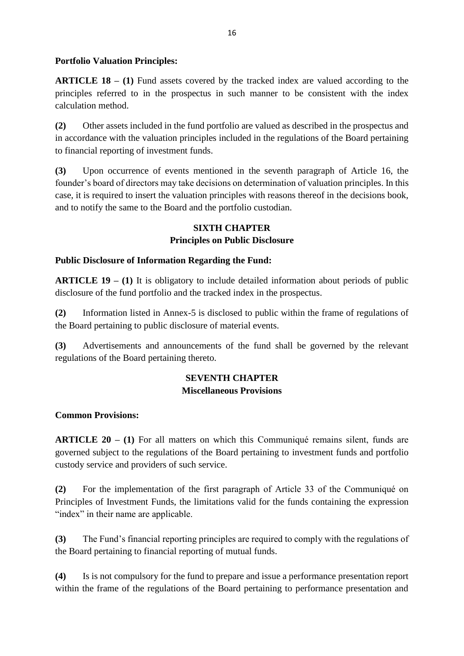### **Portfolio Valuation Principles:**

**ARTICLE 18 – (1)** Fund assets covered by the tracked index are valued according to the principles referred to in the prospectus in such manner to be consistent with the index calculation method.

**(2)** Other assets included in the fund portfolio are valued as described in the prospectus and in accordance with the valuation principles included in the regulations of the Board pertaining to financial reporting of investment funds.

**(3)** Upon occurrence of events mentioned in the seventh paragraph of Article 16, the founder's board of directors may take decisions on determination of valuation principles. In this case, it is required to insert the valuation principles with reasons thereof in the decisions book, and to notify the same to the Board and the portfolio custodian.

## **SIXTH CHAPTER**

## **Principles on Public Disclosure**

### **Public Disclosure of Information Regarding the Fund:**

**ARTICLE 19 – (1)** It is obligatory to include detailed information about periods of public disclosure of the fund portfolio and the tracked index in the prospectus.

**(2)** Information listed in Annex-5 is disclosed to public within the frame of regulations of the Board pertaining to public disclosure of material events.

**(3)** Advertisements and announcements of the fund shall be governed by the relevant regulations of the Board pertaining thereto.

## **SEVENTH CHAPTER Miscellaneous Provisions**

## **Common Provisions:**

**ARTICLE 20 – (1)** For all matters on which this Communiqué remains silent, funds are governed subject to the regulations of the Board pertaining to investment funds and portfolio custody service and providers of such service.

**(2)** For the implementation of the first paragraph of Article 33 of the Communiqué on Principles of Investment Funds, the limitations valid for the funds containing the expression "index" in their name are applicable.

**(3)** The Fund's financial reporting principles are required to comply with the regulations of the Board pertaining to financial reporting of mutual funds.

**(4)** Is is not compulsory for the fund to prepare and issue a performance presentation report within the frame of the regulations of the Board pertaining to performance presentation and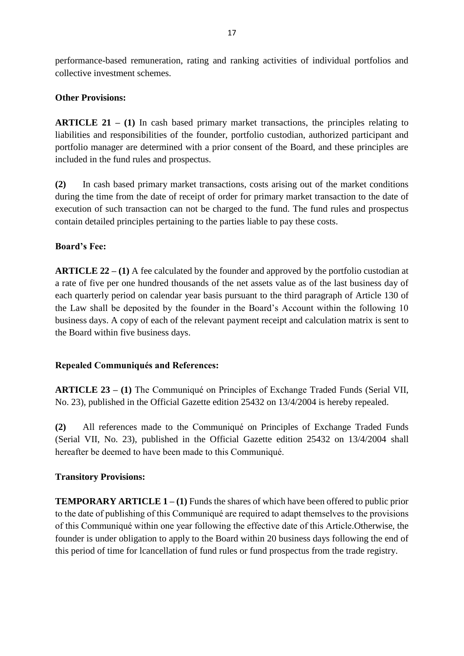performance-based remuneration, rating and ranking activities of individual portfolios and collective investment schemes.

### **Other Provisions:**

**ARTICLE 21 – (1)** In cash based primary market transactions, the principles relating to liabilities and responsibilities of the founder, portfolio custodian, authorized participant and portfolio manager are determined with a prior consent of the Board, and these principles are included in the fund rules and prospectus.

**(2)** In cash based primary market transactions, costs arising out of the market conditions during the time from the date of receipt of order for primary market transaction to the date of execution of such transaction can not be charged to the fund. The fund rules and prospectus contain detailed principles pertaining to the parties liable to pay these costs.

### **Board's Fee:**

**ARTICLE 22 – (1)** A fee calculated by the founder and approved by the portfolio custodian at a rate of five per one hundred thousands of the net assets value as of the last business day of each quarterly period on calendar year basis pursuant to the third paragraph of Article 130 of the Law shall be deposited by the founder in the Board's Account within the following 10 business days. A copy of each of the relevant payment receipt and calculation matrix is sent to the Board within five business days.

### **Repealed Communiqués and References:**

**ARTICLE 23 – (1)** The Communiqué on Principles of Exchange Traded Funds (Serial VII, No. 23), published in the Official Gazette edition 25432 on 13/4/2004 is hereby repealed.

**(2)** All references made to the Communiqué on Principles of Exchange Traded Funds (Serial VII, No. 23), published in the Official Gazette edition 25432 on 13/4/2004 shall hereafter be deemed to have been made to this Communiqué.

#### **Transitory Provisions:**

**TEMPORARY ARTICLE 1 – (1)** Funds the shares of which have been offered to public prior to the date of publishing of this Communiqué are required to adapt themselves to the provisions of this Communiqué within one year following the effective date of this Article.Otherwise, the founder is under obligation to apply to the Board within 20 business days following the end of this period of time for lcancellation of fund rules or fund prospectus from the trade registry.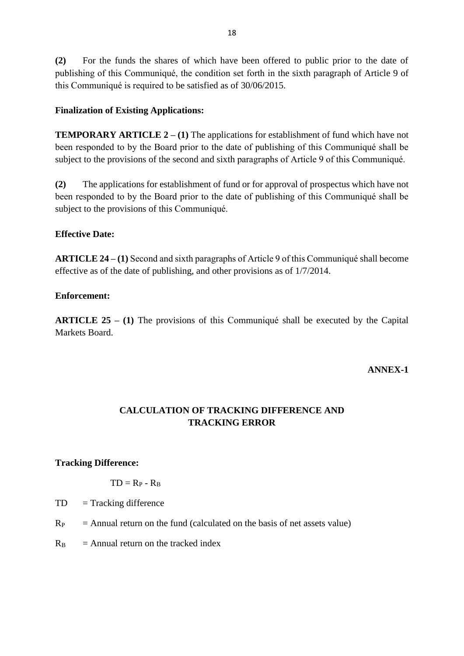**(2)** For the funds the shares of which have been offered to public prior to the date of publishing of this Communiqué, the condition set forth in the sixth paragraph of Article 9 of this Communiqué is required to be satisfied as of 30/06/2015.

### **Finalization of Existing Applications:**

**TEMPORARY ARTICLE 2 – (1) The applications for establishment of fund which have not** been responded to by the Board prior to the date of publishing of this Communiqué shall be subject to the provisions of the second and sixth paragraphs of Article 9 of this Communiqué.

**(2)** The applications for establishment of fund or for approval of prospectus which have not been responded to by the Board prior to the date of publishing of this Communiqué shall be subject to the provisions of this Communiqué.

### **Effective Date:**

**ARTICLE 24 – (1)** Second and sixth paragraphs of Article 9 of this Communiqué shall become effective as of the date of publishing, and other provisions as of 1/7/2014.

### **Enforcement:**

**ARTICLE 25 – (1)** The provisions of this Communiqué shall be executed by the Capital Markets Board.

### **ANNEX-1**

## **CALCULATION OF TRACKING DIFFERENCE AND TRACKING ERROR**

#### **Tracking Difference:**

$$
TD = R_P - R_B
$$

- $TD = Tracking difference$
- $R<sub>P</sub>$  = Annual return on the fund (calculated on the basis of net assets value)
- $R_B$  = Annual return on the tracked index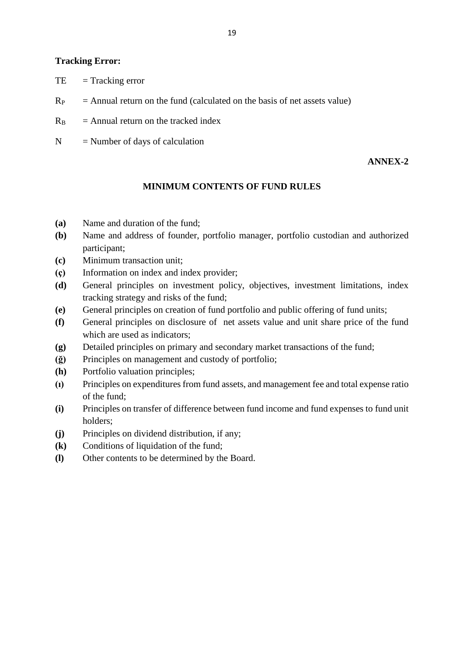### **Tracking Error:**

- $TE = Tracking error$
- $R_P$  = Annual return on the fund (calculated on the basis of net assets value)
- $R_B$  = Annual return on the tracked index
- $N =$  Number of days of calculation

### **ANNEX-2**

### **MINIMUM CONTENTS OF FUND RULES**

- **(a)** Name and duration of the fund;
- **(b)** Name and address of founder, portfolio manager, portfolio custodian and authorized participant;
- **(c)** Minimum transaction unit;
- **(ç)** Information on index and index provider;
- **(d)** General principles on investment policy, objectives, investment limitations, index tracking strategy and risks of the fund;
- **(e)** General principles on creation of fund portfolio and public offering of fund units;
- **(f)** General principles on disclosure of net assets value and unit share price of the fund which are used as indicators;
- **(g)** Detailed principles on primary and secondary market transactions of the fund;
- **(ğ)** Principles on management and custody of portfolio;
- **(h)** Portfolio valuation principles;
- **(ı)** Principles on expenditures from fund assets, and management fee and total expense ratio of the fund;
- **(i)** Principles on transfer of difference between fund income and fund expenses to fund unit holders;
- **(j)** Principles on dividend distribution, if any;
- **(k)** Conditions of liquidation of the fund;
- **(l)** Other contents to be determined by the Board.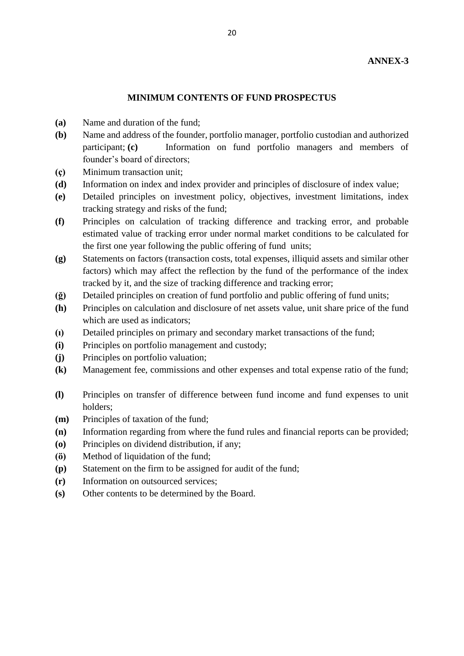#### **MINIMUM CONTENTS OF FUND PROSPECTUS**

- **(a)** Name and duration of the fund;
- **(b)** Name and address of the founder, portfolio manager, portfolio custodian and authorized participant; **(c)** Information on fund portfolio managers and members of founder's board of directors;
- **(ç)** Minimum transaction unit;
- **(d)** Information on index and index provider and principles of disclosure of index value;
- **(e)** Detailed principles on investment policy, objectives, investment limitations, index tracking strategy and risks of the fund;
- **(f)** Principles on calculation of tracking difference and tracking error, and probable estimated value of tracking error under normal market conditions to be calculated for the first one year following the public offering of fund units;
- **(g)** Statements on factors (transaction costs, total expenses, illiquid assets and similar other factors) which may affect the reflection by the fund of the performance of the index tracked by it, and the size of tracking difference and tracking error;
- **(ğ)** Detailed principles on creation of fund portfolio and public offering of fund units;
- **(h)** Principles on calculation and disclosure of net assets value, unit share price of the fund which are used as indicators;
- **(ı)** Detailed principles on primary and secondary market transactions of the fund;
- **(i)** Principles on portfolio management and custody;
- **(j)** Principles on portfolio valuation;
- **(k)** Management fee, commissions and other expenses and total expense ratio of the fund;
- **(l)** Principles on transfer of difference between fund income and fund expenses to unit holders;
- **(m)** Principles of taxation of the fund;
- **(n)** Information regarding from where the fund rules and financial reports can be provided;
- **(o)** Principles on dividend distribution, if any;
- **(ö)** Method of liquidation of the fund;
- **(p)** Statement on the firm to be assigned for audit of the fund;
- **(r)** Information on outsourced services;
- **(s)** Other contents to be determined by the Board.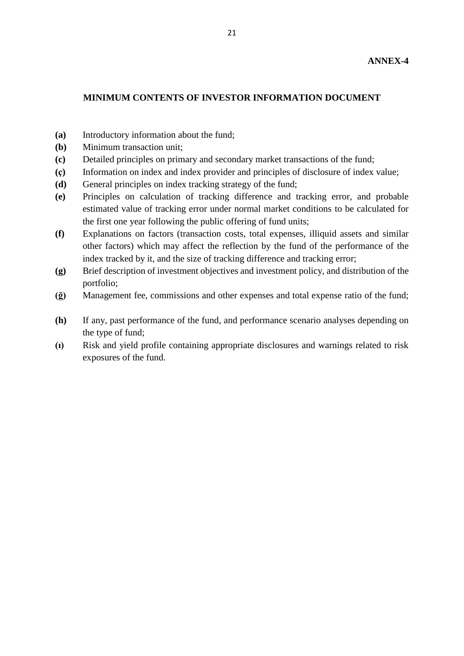#### **MINIMUM CONTENTS OF INVESTOR INFORMATION DOCUMENT**

- **(a)** Introductory information about the fund;
- **(b)** Minimum transaction unit;
- **(c)** Detailed principles on primary and secondary market transactions of the fund;
- **(ç)** Information on index and index provider and principles of disclosure of index value;
- **(d)** General principles on index tracking strategy of the fund;
- **(e)** Principles on calculation of tracking difference and tracking error, and probable estimated value of tracking error under normal market conditions to be calculated for the first one year following the public offering of fund units;
- **(f)** Explanations on factors (transaction costs, total expenses, illiquid assets and similar other factors) which may affect the reflection by the fund of the performance of the index tracked by it, and the size of tracking difference and tracking error;
- **(g)** Brief description of investment objectives and investment policy, and distribution of the portfolio;
- **(ğ)** Management fee, commissions and other expenses and total expense ratio of the fund;
- **(h)** If any, past performance of the fund, and performance scenario analyses depending on the type of fund;
- **(ı)** Risk and yield profile containing appropriate disclosures and warnings related to risk exposures of the fund.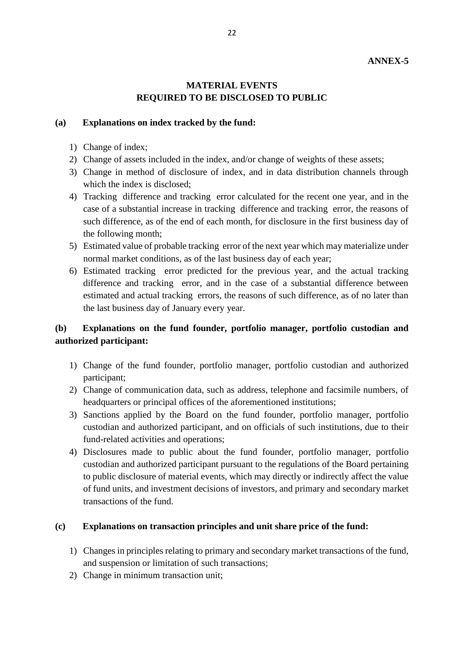### **ANNEX-5**

### **MATERIAL EVENTS REQUIRED TO BE DISCLOSED TO PUBLIC**

#### **(a) Explanations on index tracked by the fund:**

- 1) Change of index;
- 2) Change of assets included in the index, and/or change of weights of these assets;
- 3) Change in method of disclosure of index, and in data distribution channels through which the index is disclosed;
- 4) Tracking difference and tracking error calculated for the recent one year, and in the case of a substantial increase in tracking difference and tracking error, the reasons of such difference, as of the end of each month, for disclosure in the first business day of the following month;
- 5) Estimated value of probable tracking error of the next year which may materialize under normal market conditions, as of the last business day of each year;
- 6) Estimated tracking error predicted for the previous year, and the actual tracking difference and tracking error, and in the case of a substantial difference between estimated and actual tracking errors, the reasons of such difference, as of no later than the last business day of January every year.

### **(b) Explanations on the fund founder, portfolio manager, portfolio custodian and authorized participant:**

- 1) Change of the fund founder, portfolio manager, portfolio custodian and authorized participant;
- 2) Change of communication data, such as address, telephone and facsimile numbers, of headquarters or principal offices of the aforementioned institutions;
- 3) Sanctions applied by the Board on the fund founder, portfolio manager, portfolio custodian and authorized participant, and on officials of such institutions, due to their fund-related activities and operations;
- 4) Disclosures made to public about the fund founder, portfolio manager, portfolio custodian and authorized participant pursuant to the regulations of the Board pertaining to public disclosure of material events, which may directly or indirectly affect the value of fund units, and investment decisions of investors, and primary and secondary market transactions of the fund.

#### **(c) Explanations on transaction principles and unit share price of the fund:**

- 1) Changes in principles relating to primary and secondary market transactions of the fund, and suspension or limitation of such transactions;
- 2) Change in minimum transaction unit;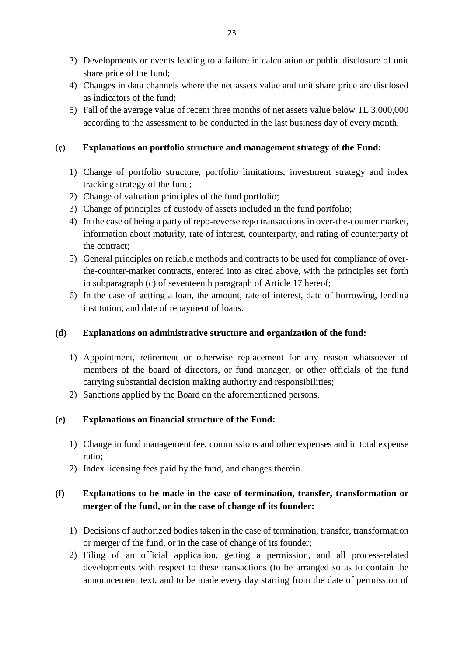- 3) Developments or events leading to a failure in calculation or public disclosure of unit share price of the fund;
- 4) Changes in data channels where the net assets value and unit share price are disclosed as indicators of the fund;
- 5) Fall of the average value of recent three months of net assets value below TL 3,000,000 according to the assessment to be conducted in the last business day of every month.

### **(ç) Explanations on portfolio structure and management strategy of the Fund:**

- 1) Change of portfolio structure, portfolio limitations, investment strategy and index tracking strategy of the fund;
- 2) Change of valuation principles of the fund portfolio;
- 3) Change of principles of custody of assets included in the fund portfolio;
- 4) In the case of being a party of repo-reverse repo transactions in over-the-counter market, information about maturity, rate of interest, counterparty, and rating of counterparty of the contract;
- 5) General principles on reliable methods and contracts to be used for compliance of overthe-counter-market contracts, entered into as cited above, with the principles set forth in subparagraph (c) of seventeenth paragraph of Article 17 hereof;
- 6) In the case of getting a loan, the amount, rate of interest, date of borrowing, lending institution, and date of repayment of loans.

### **(d) Explanations on administrative structure and organization of the fund:**

- 1) Appointment, retirement or otherwise replacement for any reason whatsoever of members of the board of directors, or fund manager, or other officials of the fund carrying substantial decision making authority and responsibilities;
- 2) Sanctions applied by the Board on the aforementioned persons.

### **(e) Explanations on financial structure of the Fund:**

- 1) Change in fund management fee, commissions and other expenses and in total expense ratio;
- 2) Index licensing fees paid by the fund, and changes therein.

## **(f) Explanations to be made in the case of termination, transfer, transformation or merger of the fund, or in the case of change of its founder:**

- 1) Decisions of authorized bodies taken in the case of termination, transfer, transformation or merger of the fund, or in the case of change of its founder;
- 2) Filing of an official application, getting a permission, and all process-related developments with respect to these transactions (to be arranged so as to contain the announcement text, and to be made every day starting from the date of permission of